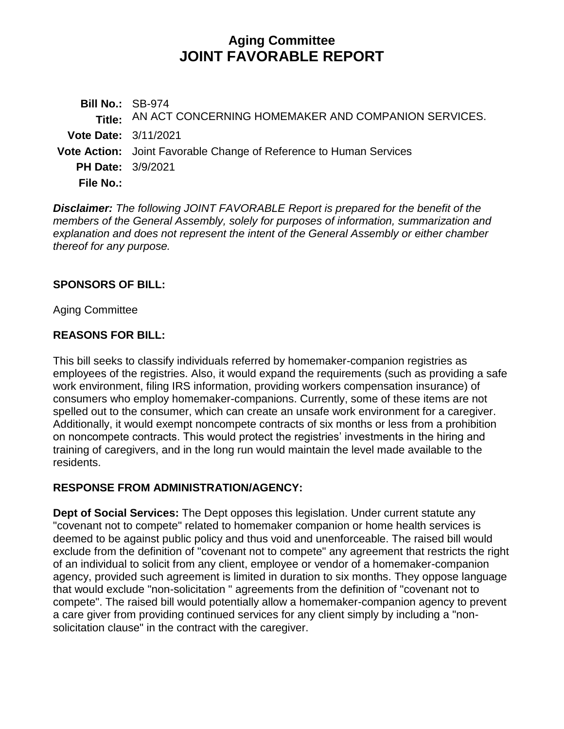# **Aging Committee JOINT FAVORABLE REPORT**

**Bill No.:** SB-974 **Title:** AN ACT CONCERNING HOMEMAKER AND COMPANION SERVICES. **Vote Date:** 3/11/2021 **Vote Action:** Joint Favorable Change of Reference to Human Services **PH Date:** 3/9/2021 **File No.:**

*Disclaimer: The following JOINT FAVORABLE Report is prepared for the benefit of the members of the General Assembly, solely for purposes of information, summarization and explanation and does not represent the intent of the General Assembly or either chamber thereof for any purpose.*

#### **SPONSORS OF BILL:**

Aging Committee

### **REASONS FOR BILL:**

This bill seeks to classify individuals referred by homemaker-companion registries as employees of the registries. Also, it would expand the requirements (such as providing a safe work environment, filing IRS information, providing workers compensation insurance) of consumers who employ homemaker-companions. Currently, some of these items are not spelled out to the consumer, which can create an unsafe work environment for a caregiver. Additionally, it would exempt noncompete contracts of six months or less from a prohibition on noncompete contracts. This would protect the registries' investments in the hiring and training of caregivers, and in the long run would maintain the level made available to the residents.

### **RESPONSE FROM ADMINISTRATION/AGENCY:**

**Dept of Social Services:** The Dept opposes this legislation. Under current statute any "covenant not to compete" related to homemaker companion or home health services is deemed to be against public policy and thus void and unenforceable. The raised bill would exclude from the definition of "covenant not to compete" any agreement that restricts the right of an individual to solicit from any client, employee or vendor of a homemaker-companion agency, provided such agreement is limited in duration to six months. They oppose language that would exclude "non-solicitation " agreements from the definition of "covenant not to compete". The raised bill would potentially allow a homemaker-companion agency to prevent a care giver from providing continued services for any client simply by including a "nonsolicitation clause" in the contract with the caregiver.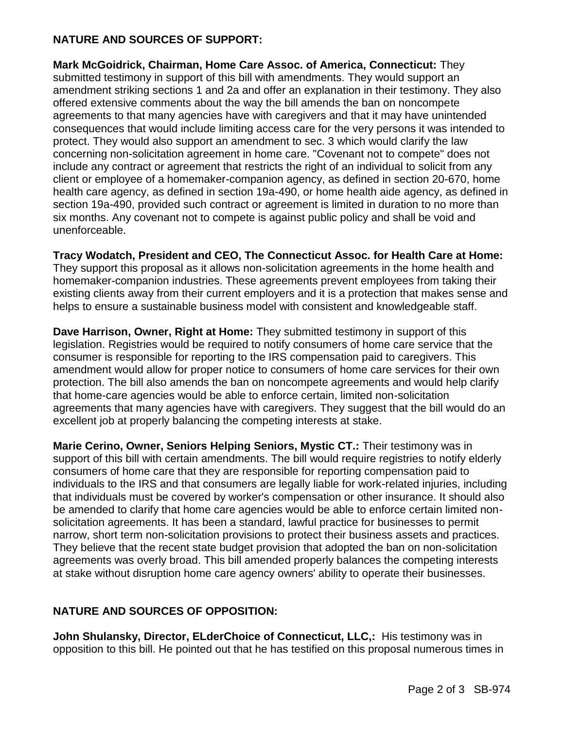### **NATURE AND SOURCES OF SUPPORT:**

**Mark McGoidrick, Chairman, Home Care Assoc. of America, Connecticut:** They submitted testimony in support of this bill with amendments. They would support an amendment striking sections 1 and 2a and offer an explanation in their testimony. They also offered extensive comments about the way the bill amends the ban on noncompete agreements to that many agencies have with caregivers and that it may have unintended consequences that would include limiting access care for the very persons it was intended to protect. They would also support an amendment to sec. 3 which would clarify the law concerning non-solicitation agreement in home care. "Covenant not to compete" does not include any contract or agreement that restricts the right of an individual to solicit from any client or employee of a homemaker-companion agency, as defined in section 20-670, home health care agency, as defined in section 19a-490, or home health aide agency, as defined in section 19a-490, provided such contract or agreement is limited in duration to no more than six months. Any covenant not to compete is against public policy and shall be void and unenforceable.

**Tracy Wodatch, President and CEO, The Connecticut Assoc. for Health Care at Home:**  They support this proposal as it allows non-solicitation agreements in the home health and homemaker-companion industries. These agreements prevent employees from taking their existing clients away from their current employers and it is a protection that makes sense and helps to ensure a sustainable business model with consistent and knowledgeable staff.

**Dave Harrison, Owner, Right at Home:** They submitted testimony in support of this legislation. Registries would be required to notify consumers of home care service that the consumer is responsible for reporting to the IRS compensation paid to caregivers. This amendment would allow for proper notice to consumers of home care services for their own protection. The bill also amends the ban on noncompete agreements and would help clarify that home-care agencies would be able to enforce certain, limited non-solicitation agreements that many agencies have with caregivers. They suggest that the bill would do an excellent job at properly balancing the competing interests at stake.

**Marie Cerino, Owner, Seniors Helping Seniors, Mystic CT.:** Their testimony was in support of this bill with certain amendments. The bill would require registries to notify elderly consumers of home care that they are responsible for reporting compensation paid to individuals to the IRS and that consumers are legally liable for work-related injuries, including that individuals must be covered by worker's compensation or other insurance. It should also be amended to clarify that home care agencies would be able to enforce certain limited nonsolicitation agreements. It has been a standard, lawful practice for businesses to permit narrow, short term non-solicitation provisions to protect their business assets and practices. They believe that the recent state budget provision that adopted the ban on non-solicitation agreements was overly broad. This bill amended properly balances the competing interests at stake without disruption home care agency owners' ability to operate their businesses.

## **NATURE AND SOURCES OF OPPOSITION:**

**John Shulansky, Director, ELderChoice of Connecticut, LLC,:** His testimony was in opposition to this bill. He pointed out that he has testified on this proposal numerous times in